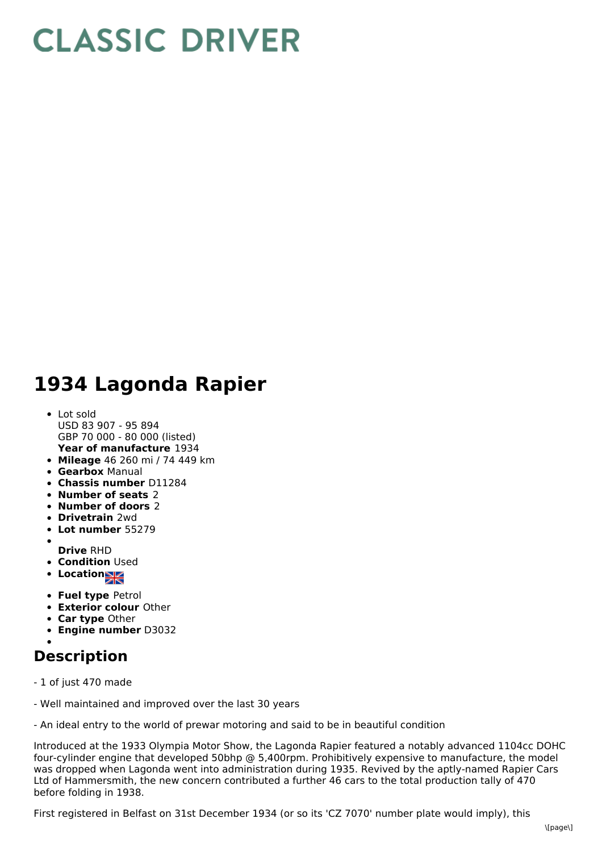## **CLASSIC DRIVER**

## **1934 Lagonda Rapier**

- **Year of manufacture** 1934 Lot sold USD 83 907 - 95 894 GBP 70 000 - 80 000 (listed)
- **Mileage** 46 260 mi / 74 449 km
- **Gearbox** Manual
- **Chassis number** D11284
- **Number of seats** 2
- **Number of doors** 2
- **Drivetrain** 2wd
- **Lot number** 55279
- 
- **Drive** RHD
- **Condition** Used
- **Location**
- **Fuel type** Petrol
- **Exterior colour** Other
- **Car type** Other
- **Engine number** D3032

## **Description**

- 1 of just 470 made
- Well maintained and improved over the last 30 years
- An ideal entry to the world of prewar motoring and said to be in beautiful condition

Introduced at the 1933 Olympia Motor Show, the Lagonda Rapier featured a notably advanced 1104cc DOHC four-cylinder engine that developed 50bhp @ 5,400rpm. Prohibitively expensive to manufacture, the model was dropped when Lagonda went into administration during 1935. Revived by the aptly-named Rapier Cars Ltd of Hammersmith, the new concern contributed a further 46 cars to the total production tally of 470 before folding in 1938.

First registered in Belfast on 31st December 1934 (or so its 'CZ 7070' number plate would imply), this